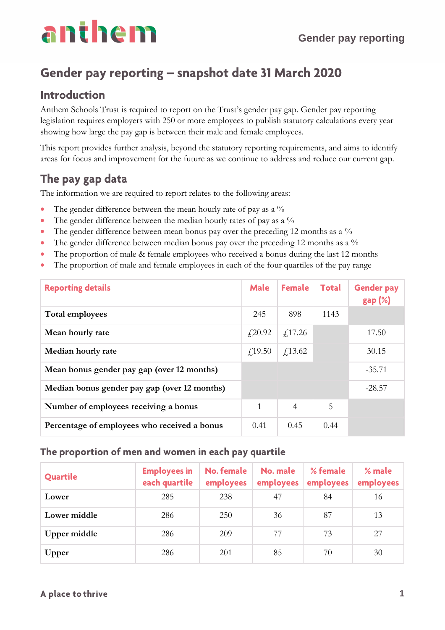## Gender pay reporting - snapshot date 31 March 2020

#### **Introduction**

Anthem Schools Trust is required to report on the Trust's gender pay gap. Gender pay reporting legislation requires employers with 250 or more employees to publish statutory calculations every year showing how large the pay gap is between their male and female employees.

This report provides further analysis, beyond the statutory reporting requirements, and aims to identify areas for focus and improvement for the future as we continue to address and reduce our current gap.

#### The pay gap data

The information we are required to report relates to the following areas:

- The gender difference between the mean hourly rate of pay as a %
- The gender difference between the median hourly rates of pay as a %
- The gender difference between mean bonus pay over the preceding 12 months as a %
- The gender difference between median bonus pay over the preceding 12 months as a %
- The proportion of male & female employees who received a bonus during the last 12 months
- The proportion of male and female employees in each of the four quartiles of the pay range

| <b>Reporting details</b>                     | <b>Male</b> | <b>Female</b>  | <b>Total</b> | <b>Gender pay</b><br>$gap (\%)$ |
|----------------------------------------------|-------------|----------------|--------------|---------------------------------|
| Total employees                              | 245         | 898            | 1143         |                                 |
| Mean hourly rate                             | f20.92      | f17.26         |              | 17.50                           |
| Median hourly rate                           | f19.50      | $f$ 13.62      |              | 30.15                           |
| Mean bonus gender pay gap (over 12 months)   |             |                |              | $-35.71$                        |
| Median bonus gender pay gap (over 12 months) |             |                |              | $-28.57$                        |
| Number of employees receiving a bonus        | 1           | $\overline{4}$ | 5            |                                 |
| Percentage of employees who received a bonus | 0.41        | 0.45           | 0.44         |                                 |

#### The proportion of men and women in each pay quartile

| Quartile     | <b>Employees in</b><br>each quartile | No. female<br>employees | No. male<br>employees | % female<br>employees | $%$ male<br>employees |
|--------------|--------------------------------------|-------------------------|-----------------------|-----------------------|-----------------------|
| Lower        | 285                                  | 238                     | 47                    | 84                    | 16                    |
| Lower middle | 286                                  | 250                     | 36                    | 87                    | 13                    |
| Upper middle | 286                                  | 209                     | 77                    | 73                    | 27                    |
| Upper        | 286                                  | 201                     | 85                    | 70                    | 30                    |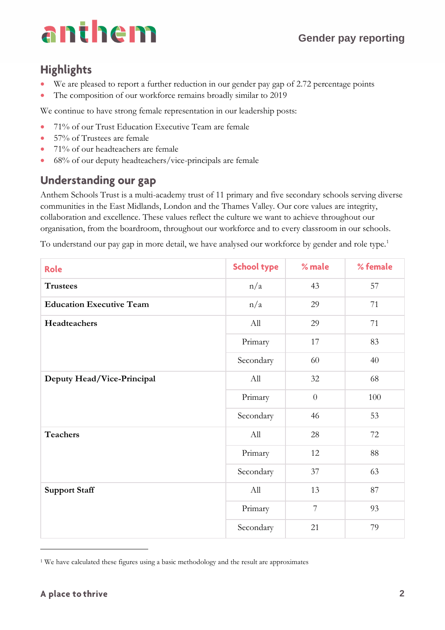### **Highlights**

- We are pleased to report a further reduction in our gender pay gap of 2.72 percentage points
- The composition of our workforce remains broadly similar to 2019

We continue to have strong female representation in our leadership posts:

- 71% of our Trust Education Executive Team are female
- 57% of Trustees are female
- 71% of our headteachers are female
- 68% of our deputy headteachers/vice-principals are female

#### **Understanding our gap**

Anthem Schools Trust is a multi-academy trust of 11 primary and five secondary schools serving diverse communities in the East Midlands, London and the Thames Valley. Our core values are integrity, collaboration and excellence. These values reflect the culture we want to achieve throughout our organisation, from the boardroom, throughout our workforce and to every classroom in our schools.

To understand our pay gap in more detail, we have analysed our workforce by gender and role type.<sup>1</sup>

| Role                            | <b>School type</b> | % male           | % female |
|---------------------------------|--------------------|------------------|----------|
| <b>Trustees</b>                 | n/a                | 43               | 57       |
| <b>Education Executive Team</b> | n/a                | 29               | 71       |
| Headteachers                    | All                | 29               | 71       |
|                                 | Primary            | 17               | 83       |
|                                 | Secondary          | 60               | 40       |
| Deputy Head/Vice-Principal      | All                | 32               | 68       |
|                                 | Primary            | $\boldsymbol{0}$ | 100      |
|                                 | Secondary          | 46               | 53       |
| <b>Teachers</b>                 | All                | 28               | 72       |
|                                 | Primary            | 12               | 88       |
|                                 | Secondary          | 37               | 63       |
| <b>Support Staff</b>            | All                | 13               | 87       |
|                                 | Primary            | $\overline{7}$   | 93       |
|                                 | Secondary          | 21               | 79       |

<sup>1</sup> We have calculated these figures using a basic methodology and the result are approximates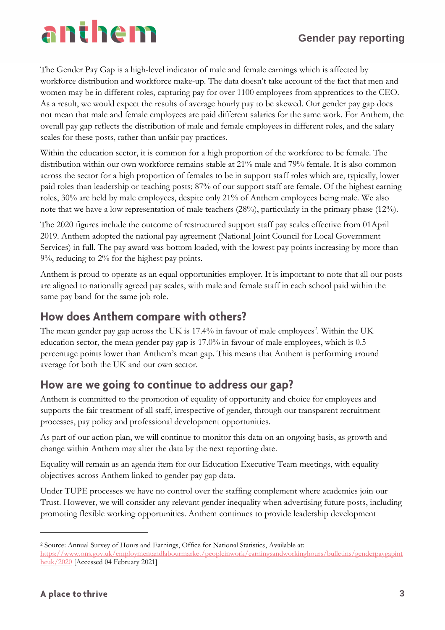#### **Gender pay reporting**

The Gender Pay Gap is a high-level indicator of male and female earnings which is affected by workforce distribution and workforce make-up. The data doesn't take account of the fact that men and women may be in different roles, capturing pay for over 1100 employees from apprentices to the CEO. As a result, we would expect the results of average hourly pay to be skewed. Our gender pay gap does not mean that male and female employees are paid different salaries for the same work. For Anthem, the overall pay gap reflects the distribution of male and female employees in different roles, and the salary scales for these posts, rather than unfair pay practices.

Within the education sector, it is common for a high proportion of the workforce to be female. The distribution within our own workforce remains stable at 21% male and 79% female. It is also common across the sector for a high proportion of females to be in support staff roles which are, typically, lower paid roles than leadership or teaching posts; 87% of our support staff are female. Of the highest earning roles, 30% are held by male employees, despite only 21% of Anthem employees being male. We also note that we have a low representation of male teachers (28%), particularly in the primary phase (12%).

The 2020 figures include the outcome of restructured support staff pay scales effective from 01April 2019. Anthem adopted the national pay agreement (National Joint Council for Local Government Services) in full. The pay award was bottom loaded, with the lowest pay points increasing by more than 9%, reducing to 2% for the highest pay points.

Anthem is proud to operate as an equal opportunities employer. It is important to note that all our posts are aligned to nationally agreed pay scales, with male and female staff in each school paid within the same pay band for the same job role.

#### How does Anthem compare with others?

The mean gender pay gap across the UK is  $17.4\%$  in favour of male employees<sup>2</sup>. Within the UK education sector, the mean gender pay gap is 17.0% in favour of male employees, which is 0.5 percentage points lower than Anthem's mean gap. This means that Anthem is performing around average for both the UK and our own sector.

#### How are we going to continue to address our gap?

Anthem is committed to the promotion of equality of opportunity and choice for employees and supports the fair treatment of all staff, irrespective of gender, through our transparent recruitment processes, pay policy and professional development opportunities.

As part of our action plan, we will continue to monitor this data on an ongoing basis, as growth and change within Anthem may alter the data by the next reporting date.

Equality will remain as an agenda item for our Education Executive Team meetings, with equality objectives across Anthem linked to gender pay gap data.

Under TUPE processes we have no control over the staffing complement where academies join our Trust. However, we will consider any relevant gender inequality when advertising future posts, including promoting flexible working opportunities. Anthem continues to provide leadership development

<sup>2</sup> Source: Annual Survey of Hours and Earnings, Office for National Statistics, Available at: [https://www.ons.gov.uk/employmentandlabourmarket/peopleinwork/earningsandworkinghours/bulletins/genderpaygapint](https://www.ons.gov.uk/employmentandlabourmarket/peopleinwork/earningsandworkinghours/bulletins/genderpaygapintheuk/2020) [heuk/2020](https://www.ons.gov.uk/employmentandlabourmarket/peopleinwork/earningsandworkinghours/bulletins/genderpaygapintheuk/2020) [Accessed 04 February 2021]